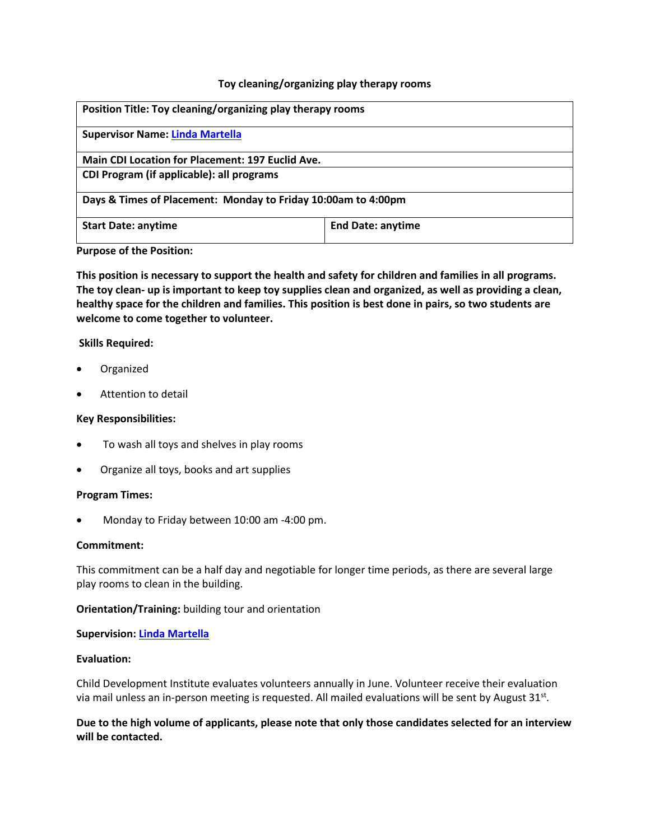## **Toy cleaning/organizing play therapy rooms**

| Position Title: Toy cleaning/organizing play therapy rooms    |                          |
|---------------------------------------------------------------|--------------------------|
| <b>Supervisor Name: Linda Martella</b>                        |                          |
| Main CDI Location for Placement: 197 Euclid Ave.              |                          |
| CDI Program (if applicable): all programs                     |                          |
| Days & Times of Placement: Monday to Friday 10:00am to 4:00pm |                          |
| <b>Start Date: anytime</b>                                    | <b>End Date: anytime</b> |

**Purpose of the Position:**

**This position is necessary to support the health and safety for children and families in all programs. The toy clean- up is important to keep toy supplies clean and organized, as well as providing a clean, healthy space for the children and families. This position is best done in pairs, so two students are welcome to come together to volunteer.** 

### **Skills Required:**

- Organized
- Attention to detail

### **Key Responsibilities:**

- To wash all toys and shelves in play rooms
- Organize all toys, books and art supplies

### **Program Times:**

Monday to Friday between 10:00 am -4:00 pm.

## **Commitment:**

This commitment can be a half day and negotiable for longer time periods, as there are several large play rooms to clean in the building.

### **Orientation/Training:** building tour and orientation

### **Supervision: [Linda Martella](mailto:lmartella@childdevelop.ca)**

# **Evaluation:**

Child Development Institute evaluates volunteers annually in June. Volunteer receive their evaluation via mail unless an in-person meeting is requested. All mailed evaluations will be sent by August 31st.

**Due to the high volume of applicants, please note that only those candidates selected for an interview will be contacted.**